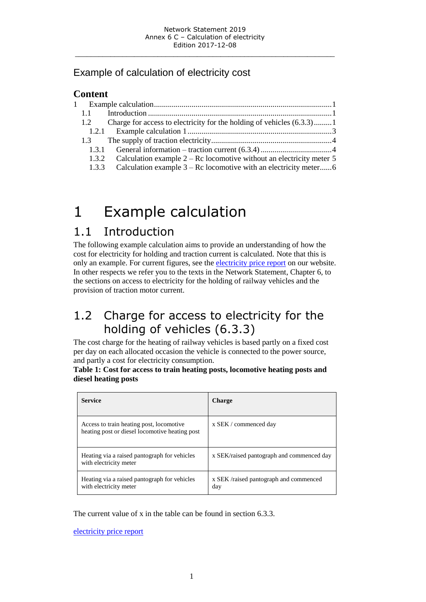### Example of calculation of electricity cost

### **Content**

| 1.1   |                                                                                     |  |
|-------|-------------------------------------------------------------------------------------|--|
| 1.2   | Charge for access to electricity for the holding of vehicles (6.3.3)1               |  |
|       |                                                                                     |  |
| 1.3   |                                                                                     |  |
| 1.3.1 |                                                                                     |  |
|       | 1.3.2 Calculation example $2 - \text{Rc}$ locomotive without an electricity meter 5 |  |
| 1.3.3 |                                                                                     |  |
|       |                                                                                     |  |

# <span id="page-0-0"></span>1 Example calculation

# <span id="page-0-1"></span>1.1 Introduction

The following example calculation aims to provide an understanding of how the cost for electricity for holding and traction current is calculated. Note that this is only an example. For current figures, see the [electricity price report](http://www.trafikverket.se/elprisrapport) on our website. In other respects we refer you to the texts in the Network Statement, Chapter 6, to the sections on access to electricity for the holding of railway vehicles and the provision of traction motor current.

# <span id="page-0-2"></span>1.2 Charge for access to electricity for the holding of vehicles (6.3.3)

The cost charge for the heating of railway vehicles is based partly on a fixed cost per day on each allocated occasion the vehicle is connected to the power source, and partly a cost for electricity consumption.

**Table 1: Cost for access to train heating posts, locomotive heating posts and diesel heating posts**

| <b>Service</b>                                                                             | <b>Charge</b>                                |
|--------------------------------------------------------------------------------------------|----------------------------------------------|
| Access to train heating post, locomotive<br>heating post or diesel locomotive heating post | x SEK / commenced day                        |
| Heating via a raised pantograph for vehicles<br>with electricity meter                     | x SEK/raised pantograph and commenced day    |
| Heating via a raised pantograph for vehicles<br>with electricity meter                     | x SEK/raised pantograph and commenced<br>day |

The current value of x in the table can be found in section 6.3.3.

[electricity price report](http://www.trafikverket.se/elprisrapport)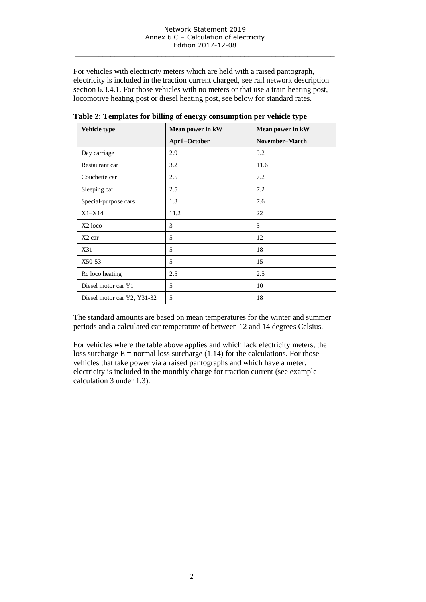For vehicles with electricity meters which are held with a raised pantograph, electricity is included in the traction current charged, see rail network description section 6.3.4.1. For those vehicles with no meters or that use a train heating post, locomotive heating post or diesel heating post, see below for standard rates.

| Vehicle type                | Mean power in kW | Mean power in kW |
|-----------------------------|------------------|------------------|
|                             | April-October    | November-March   |
| Day carriage                | 2.9              | 9.2              |
| Restaurant car              | 3.2              | 11.6             |
| Couchette car               | 2.5              | 7.2              |
| Sleeping car                | 2.5              | 7.2              |
| Special-purpose cars        | 1.3              | 7.6              |
| $X1 - X14$                  | 11.2             | 22               |
| X <sub>2</sub> loco         | 3                | 3                |
| $X2$ car                    | 5                | 12               |
| X31                         | 5                | 18               |
| X50-53                      | 5                | 15               |
| Rc loco heating             | 2.5              | 2.5              |
| Diesel motor car Y1         | 5                | 10               |
| Diesel motor car Y2, Y31-32 | 5                | 18               |

**Table 2: Templates for billing of energy consumption per vehicle type**

The standard amounts are based on mean temperatures for the winter and summer periods and a calculated car temperature of between 12 and 14 degrees Celsius.

For vehicles where the table above applies and which lack electricity meters, the loss surcharge  $E =$  normal loss surcharge (1.14) for the calculations. For those vehicles that take power via a raised pantographs and which have a meter, electricity is included in the monthly charge for traction current (see example calculation 3 under 1.3).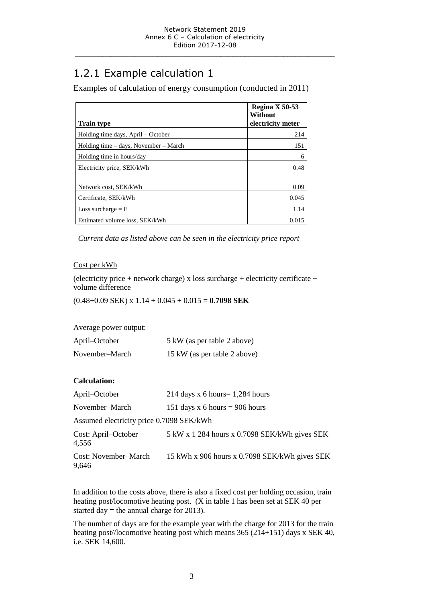# <span id="page-2-0"></span>1.2.1 Example calculation 1

Examples of calculation of energy consumption (conducted in 2011)

|                                       | Regina X 50-53<br>Without |
|---------------------------------------|---------------------------|
| <b>Train type</b>                     | electricity meter         |
| Holding time days, April – October    | 214                       |
| Holding time – days, November – March | 151                       |
| Holding time in hours/day             | 6                         |
| Electricity price, SEK/kWh            | 0.48                      |
|                                       |                           |
| Network cost, SEK/kWh                 | 0.09                      |
| Certificate, SEK/kWh                  | 0.045                     |
| Loss surcharge $=$ E                  | 1.14                      |
| Estimated volume loss, SEK/kWh        | 0.015                     |

*Current data as listed above can be seen in the electricity price report*

### Cost per kWh

(electricity price + network charge) x loss surcharge + electricity certificate + volume difference

(0.48+0.09 SEK) x 1.14 + 0.045 + 0.015 = **0.7098 SEK**

| Average power output: |                              |
|-----------------------|------------------------------|
| April–October         | 5 kW (as per table 2 above)  |
| November-March        | 15 kW (as per table 2 above) |

### **Calculation:**

| April–October                            | 214 days x 6 hours = $1,284$ hours                                               |  |  |  |
|------------------------------------------|----------------------------------------------------------------------------------|--|--|--|
| November-March                           | 151 days x 6 hours = 906 hours                                                   |  |  |  |
| Assumed electricity price 0.7098 SEK/kWh |                                                                                  |  |  |  |
| Cost: April–October<br>4,556             | $5 \text{ kW} \times 1284 \text{ hours} \times 0.7098 \text{ SEK/kWh}$ gives SEK |  |  |  |
| Cost: November–March<br>9,646            | 15 kWh x 906 hours x 0.7098 SEK/kWh gives SEK                                    |  |  |  |

In addition to the costs above, there is also a fixed cost per holding occasion, train heating post/locomotive heating post. (X in table 1 has been set at SEK 40 per started day = the annual charge for 2013).

The number of days are for the example year with the charge for 2013 for the train heating post//locomotive heating post which means 365 (214+151) days x SEK 40, i.e. SEK 14,600.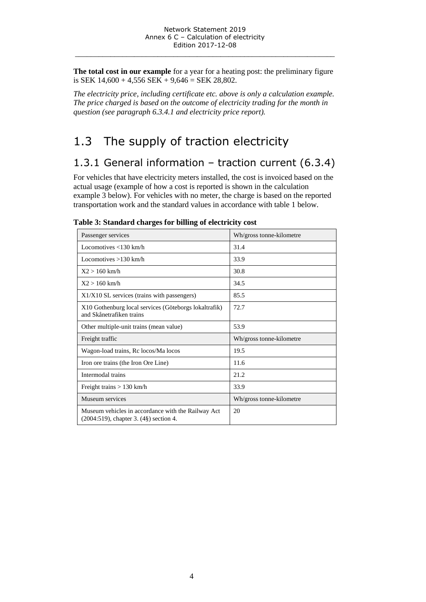**The total cost in our example** for a year for a heating post: the preliminary figure is SEK  $14,600 + 4,556$  SEK  $+ 9,646 =$  SEK  $28,802$ .

*The electricity price, including certificate etc. above is only a calculation example. The price charged is based on the outcome of electricity trading for the month in question (see paragraph 6.3.4.1 and electricity price report).*

# <span id="page-3-0"></span>1.3 The supply of traction electricity

## <span id="page-3-1"></span>1.3.1 General information – traction current (6.3.4)

For vehicles that have electricity meters installed, the cost is invoiced based on the actual usage (example of how a cost is reported is shown in the calculation example 3 below). For vehicles with no meter, the charge is based on the reported transportation work and the standard values in accordance with table 1 below.

| Passenger services                                                                           | Wh/gross tonne-kilometre |
|----------------------------------------------------------------------------------------------|--------------------------|
| Locomotives $\langle 130 \text{ km/h} \rangle$                                               | 31.4                     |
| Locomotives $>130$ km/h                                                                      | 33.9                     |
| $X2 > 160$ km/h                                                                              | 30.8                     |
| $X2 > 160$ km/h                                                                              | 34.5                     |
| X1/X10 SL services (trains with passengers)                                                  | 85.5                     |
| X10 Gothenburg local services (Göteborgs lokaltrafik)<br>and Skånetrafiken trains            | 72.7                     |
| Other multiple-unit trains (mean value)                                                      | 53.9                     |
| Freight traffic                                                                              | Wh/gross tonne-kilometre |
| Wagon-load trains, Rc locos/Ma locos                                                         | 19.5                     |
| Iron ore trains (the Iron Ore Line)                                                          | 11.6                     |
| Intermodal trains                                                                            | 21.2                     |
| Freight trains $> 130$ km/h                                                                  | 33.9                     |
| Museum services                                                                              | Wh/gross tonne-kilometre |
| Museum vehicles in accordance with the Railway Act<br>(2004:519), chapter 3. (4§) section 4. | 20                       |

**Table 3: Standard charges for billing of electricity cost**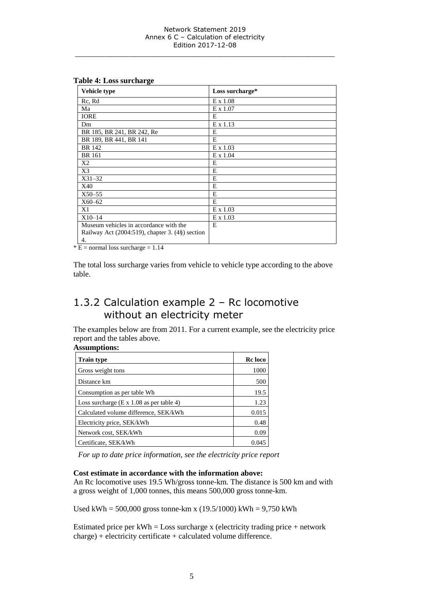| Vehicle type                                         | Loss surcharge* |
|------------------------------------------------------|-----------------|
| Rc, Rd                                               | E x 1.08        |
| Ma                                                   | E x 1.07        |
| <b>IORE</b>                                          | E               |
| Dm                                                   | $E \times 1.13$ |
| BR 185, BR 241, BR 242, Re                           | E               |
| BR 189, BR 441, BR 141                               | E               |
| <b>BR</b> 142                                        | $E \times 1.03$ |
| <b>BR</b> 161                                        | E x 1.04        |
| X2                                                   | E               |
| X3                                                   | E               |
| $X31 - 32$                                           | E               |
| X40                                                  | E               |
| $X50 - 55$                                           | E               |
| $X60 - 62$                                           | E               |
| X1                                                   | $E \times 1.03$ |
| $X10-14$                                             | $E \times 1.03$ |
| Museum vehicles in accordance with the               | E               |
| Railway Act $(2004:519)$ , chapter 3. $(4§)$ section |                 |
| 4.                                                   |                 |

#### **Table 4: Loss surcharge**

 $* E =$  normal loss surcharge = 1.14

The total loss surcharge varies from vehicle to vehicle type according to the above table.

### <span id="page-4-0"></span>1.3.2 Calculation example 2 – Rc locomotive without an electricity meter

The examples below are from 2011. For a current example, see the electricity price report and the tables above.

### **Assumptions:**

| <b>Train type</b>                               | Rc loco |
|-------------------------------------------------|---------|
| Gross weight tons                               | 1000    |
| Distance km                                     | 500     |
| Consumption as per table Wh.                    | 19.5    |
| Loss surcharge $(E \times 1.08$ as per table 4) | 1.23    |
| Calculated volume difference, SEK/kWh           | 0.015   |
| Electricity price, SEK/kWh                      | 0.48    |
| Network cost, SEK/kWh                           | 0.09    |
| Certificate, SEK/kWh                            | 0.045   |

*For up to date price information, see the electricity price report*

#### **Cost estimate in accordance with the information above:**

An Rc locomotive uses 19.5 Wh/gross tonne-km. The distance is 500 km and with a gross weight of 1,000 tonnes, this means 500,000 gross tonne-km.

Used kWh =  $500,000$  gross tonne-km x (19.5/1000) kWh =  $9,750$  kWh

Estimated price per  $kWh = Loss$  surcharge x (electricity trading price + network charge) + electricity certificate + calculated volume difference.